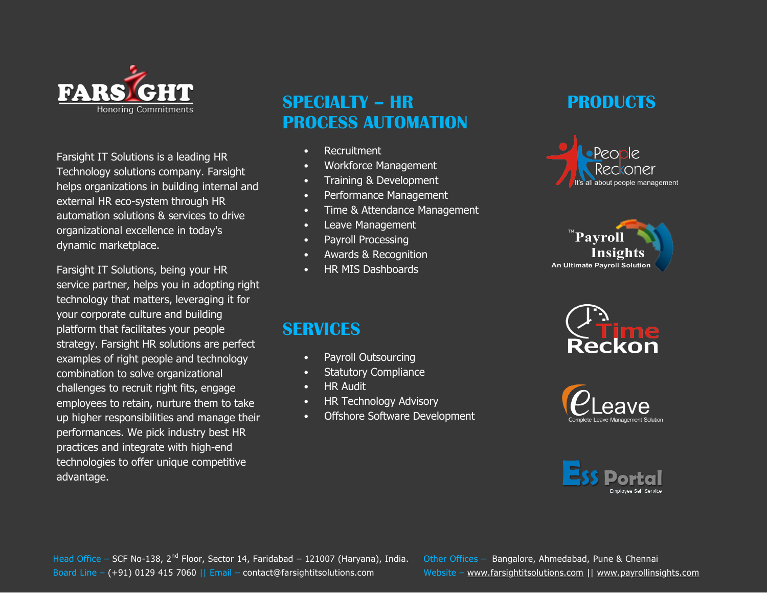

Farsight IT Solutions is a leading HR Technology solutions company. Farsight helps organizations in building internal and external HR eco-system through HR automation solutions & services to drive organizational excellence in today's dynamic marketplace.

Farsight IT Solutions, being your HR service partner, helps you in adopting right technology that matters, leveraging it for your corporate culture and building platform that facilitates your people strategy. Farsight HR solutions are perfect examples of right people and technology combination to solve organizational challenges to recruit right fits, engage employees to retain, nurture them to take up higher responsibilities and manage their performances. We pick industry best HR practices and integrate with high-end technologies to offer unique competitive advantage.

# **SPECIALTY – HR PROCESS AUTOMATION**

- Recruitment
- Workforce Management
- Training & Development
- Performance Management
- Time & Attendance Management
- Leave Management
- Payroll Processing
- Awards & Recognition
- HR MIS Dashboards

# **SERVICES**

- Payroll Outsourcing
- **Statutory Compliance**
- HR Audit
- HR Technology Advisory
- Offshore Software Development

# **PRODUCTS**









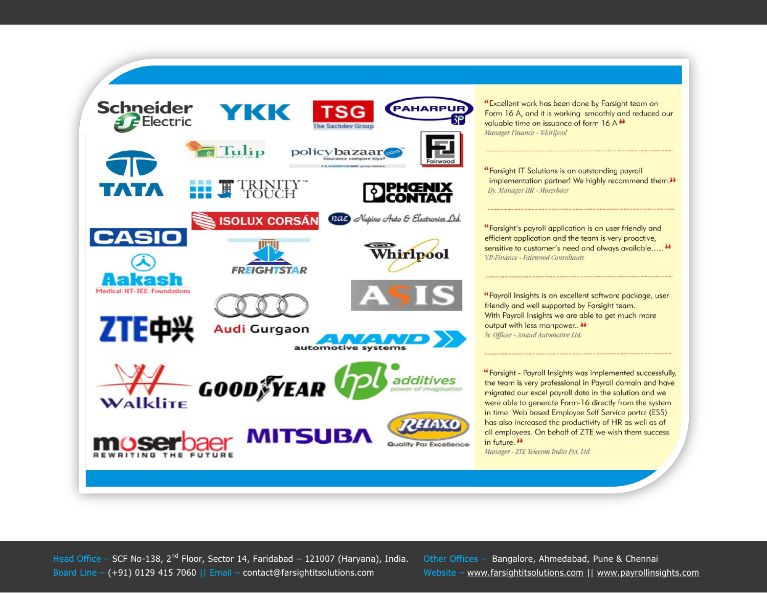

Head Office – SCF No-138, 2<sup>nd</sup> Floor, Sector 14, Faridabad – 121007 (Haryana), India. Other Offices – Bangalore, Ahmedabad, Pune & Chennai Board Line – (+91) 0129 415 7060 || Email – contact@farsightitsolutions.com Website – www.farsightitsolutions.com || www.payrollinsights.com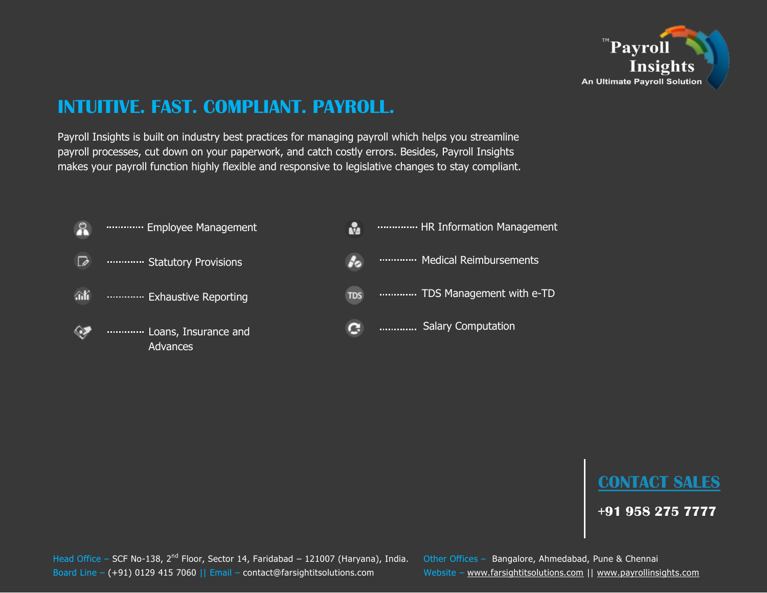

# **INTUITIVE. FAST. COMPLIANT. PAYROLL.**

Payroll Insights is built on industry best practices for managing payroll which helps you streamline payroll processes, cut down on your paperwork, and catch costly errors. Besides, Payroll Insights makes your payroll function highly flexible and responsive to legislative changes to stay compliant.





**+91 958 275 7777**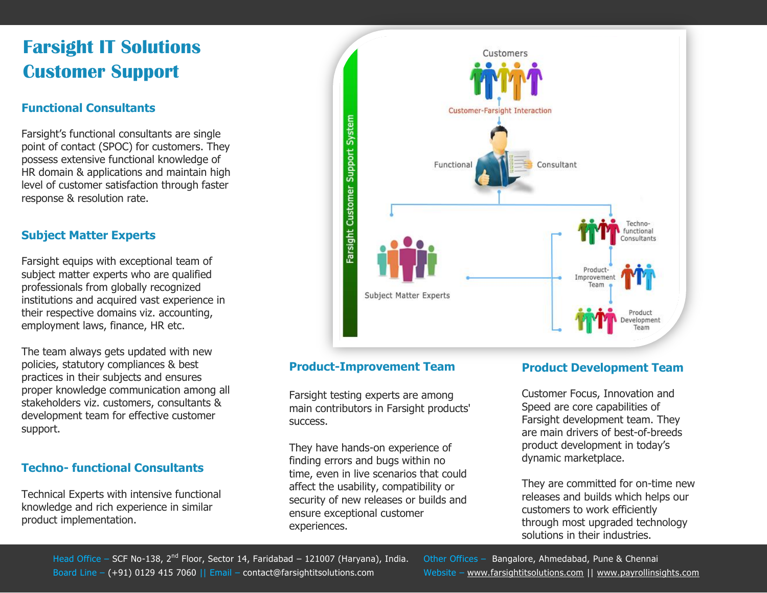# **Farsight IT Solutions Customer Support**

## **[Functional Consultants](http://farsightitsolutions.com/Company/CustomerSupport.aspx)**

Farsight's functional consultants are single point of contact (SPOC) for customers. They possess extensive functional knowledge of HR domain & applications and maintain high level of customer satisfaction through faster response & resolution rate.

## **[Subject Matter Experts](http://farsightitsolutions.com/Company/CustomerSupport.aspx)**

Farsight equips with exceptional team of subject matter experts who are qualified professionals from globally recognized institutions and acquired vast experience in their respective domains viz. accounting, employment laws, finance, HR etc.

The team always gets updated with new policies, statutory compliances & best practices in their subjects and ensures proper knowledge communication among all stakeholders viz. customers, consultants & development team for effective customer support.

## **Techno- [functional Consultants](http://farsightitsolutions.com/Company/CustomerSupport.aspx)**

Technical Experts with intensive functional knowledge and rich experience in similar product implementation.



### **[Product-Improvement Team](http://farsightitsolutions.com/Company/CustomerSupport.aspx)**

Farsight testing experts are among main contributors in Farsight products' success.

They have hands-on experience of finding errors and bugs within no time, even in live scenarios that could affect the usability, compatibility or security of new releases or builds and ensure exceptional customer experiences.

### **[Product Development Team](http://farsightitsolutions.com/Company/CustomerSupport.aspx)**

Customer Focus, Innovation and Speed are core capabilities of Farsight development team. They are main drivers of best-of-breeds product development in today's dynamic marketplace.

They are committed for on-time new releases and builds which helps our customers to work efficiently through most upgraded technology solutions in their industries.

Head Office – SCF No-138, 2<sup>nd</sup> Floor, Sector 14, Faridabad – 121007 (Haryana), India. Other Offices – Bangalore, Ahmedabad, Pune & Chennai Board Line – (+91) 0129 415 7060 || Email – contact@farsightitsolutions.com Website – www.farsightitsolutions.com || www.payrollinsights.com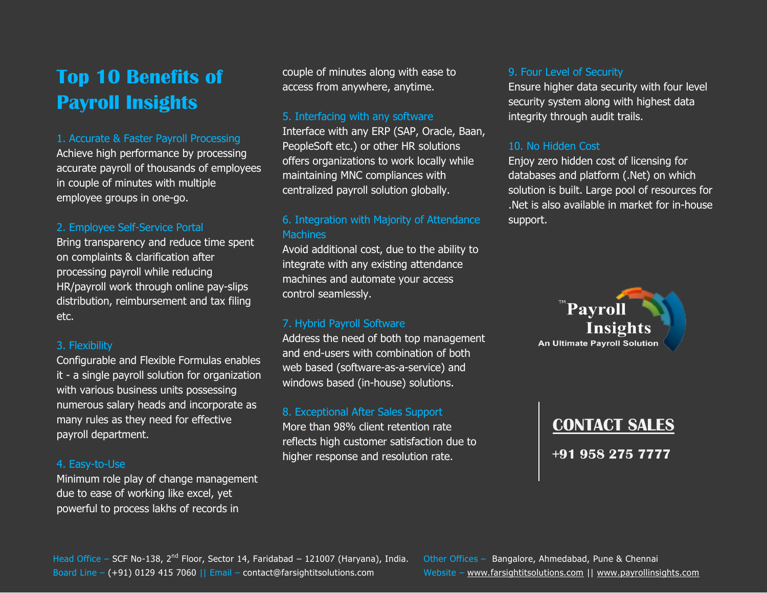# **Top 10 Benefits of Payroll Insights**

#### 1. Accurate & Faster Payroll Processing

Achieve high performance by processing accurate payroll of thousands of employees in couple of minutes with multiple employee groups in one-go.

#### 2. Employee Self-Service Portal

Bring transparency and reduce time spent on complaints & clarification after processing payroll while reducing HR/payroll work through online pay-slips distribution, reimbursement and tax filing etc.

#### 3. Flexibility

Configurable and Flexible Formulas enables it - a single payroll solution for organization with various business units possessing numerous salary heads and incorporate as many rules as they need for effective payroll department.

#### 4. Easy-to-Use

Minimum role play of change management due to ease of working like excel, yet powerful to process lakhs of records in

couple of minutes along with ease to access from anywhere, anytime.

#### 5. Interfacing with any software

Interface with any ERP (SAP, Oracle, Baan, PeopleSoft etc.) or other HR solutions offers organizations to work locally while maintaining MNC compliances with centralized payroll solution globally.

### 6. Integration with Majority of Attendance **Machines**

Avoid additional cost, due to the ability to integrate with any existing attendance machines and automate your access control seamlessly.

#### 7. Hybrid Payroll Software

Address the need of both top management and end-users with combination of both web based (software-as-a-service) and windows based (in-house) solutions.

#### 8. Exceptional After Sales Support

More than 98% client retention rate reflects high customer satisfaction due to higher response and resolution rate.

#### 9. Four Level of Security

Ensure higher data security with four level security system along with highest data integrity through audit trails.

#### 10. No Hidden Cost

Enjoy zero hidden cost of licensing for databases and platform (.Net) on which solution is built. Large pool of resources for .Net is also available in market for in-house support.



# **[CONTACT SALES](http://farsightitsolutions.com/Products/PayrollInsights.aspx)**

**+91 958 275 7777**